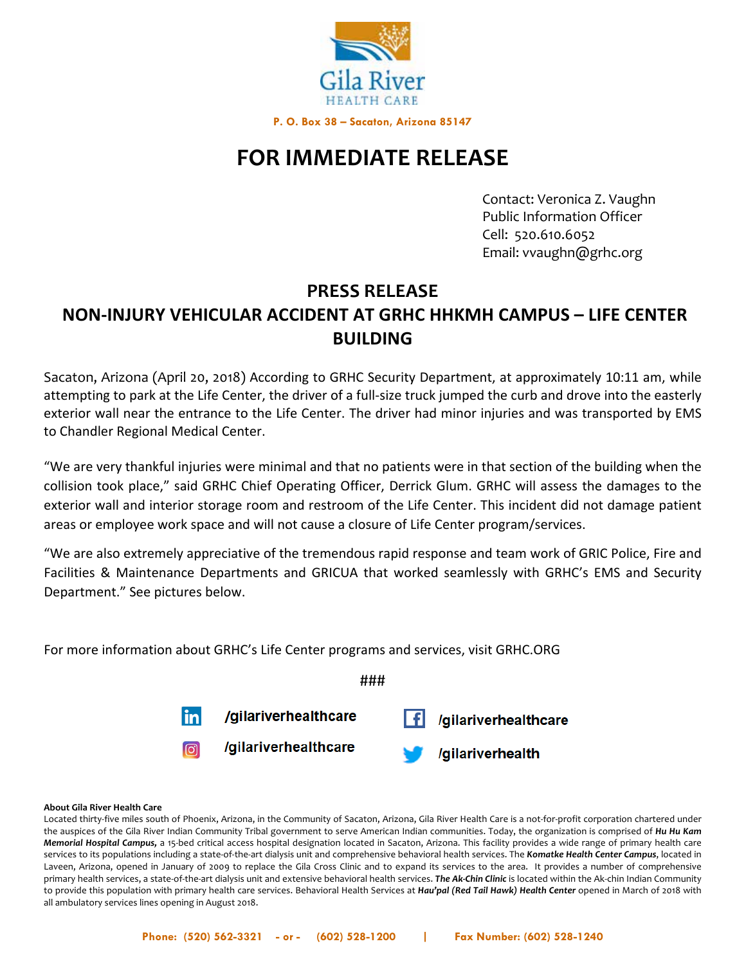

**P. O. Box 38 – Sacaton, Arizona 85147**

## **FOR IMMEDIATE RELEASE**

Contact: Veronica Z. Vaughn Public Information Officer Cell: 520.610.6052 Email: vvaughn@grhc.org

## **PRESS RELEASE NON-INJURY VEHICULAR ACCIDENT AT GRHC HHKMH CAMPUS – LIFE CENTER BUILDING**

Sacaton, Arizona (April 20, 2018) According to GRHC Security Department, at approximately 10:11 am, while attempting to park at the Life Center, the driver of a full-size truck jumped the curb and drove into the easterly exterior wall near the entrance to the Life Center. The driver had minor injuries and was transported by EMS to Chandler Regional Medical Center.

"We are very thankful injuries were minimal and that no patients were in that section of the building when the collision took place," said GRHC Chief Operating Officer, Derrick Glum. GRHC will assess the damages to the exterior wall and interior storage room and restroom of the Life Center. This incident did not damage patient areas or employee work space and will not cause a closure of Life Center program/services.

"We are also extremely appreciative of the tremendous rapid response and team work of GRIC Police, Fire and Facilities & Maintenance Departments and GRICUA that worked seamlessly with GRHC's EMS and Security Department." See pictures below.

For more information about GRHC's Life Center programs and services, visit GRHC.ORG



## **About Gila River Health Care**

Located thirty-five miles south of Phoenix, Arizona, in the Community of Sacaton, Arizona, Gila River Health Care is a not-for-profit corporation chartered under the auspices of the Gila River Indian Community Tribal government to serve American Indian communities. Today, the organization is comprised of Hu Hu Kam Memorial Hospital Campus, a 15-bed critical access hospital designation located in Sacaton, Arizona. This facility provides a wide range of primary health care services to its populations including a state-of-the-art dialysis unit and comprehensive behavioral health services. The Komatke Health Center Campus, located in Laveen, Arizona, opened in January of 2009 to replace the Gila Cross Clinic and to expand its services to the area. It provides a number of comprehensive primary health services, a state-of-the-art dialysis unit and extensive behavioral health services. The Ak-Chin Clinic is located within the Ak-chin Indian Community to provide this population with primary health care services. Behavioral Health Services at *Hau'pal (Red Tail Hawk) Health Center* opened in March of 2018 with all ambulatory services lines opening in August 2018.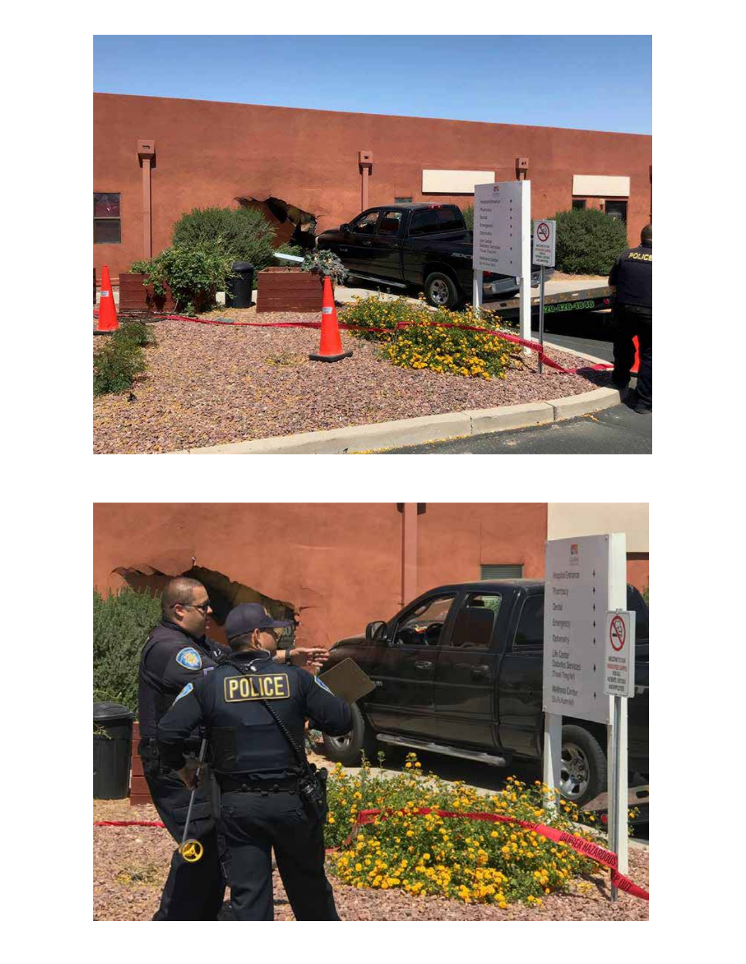

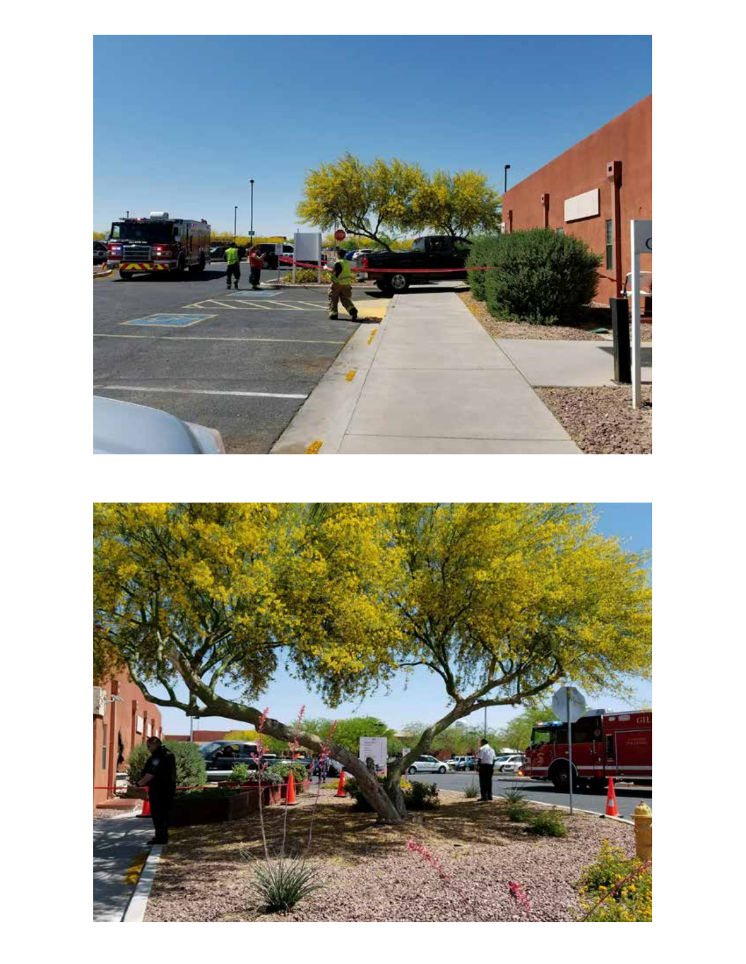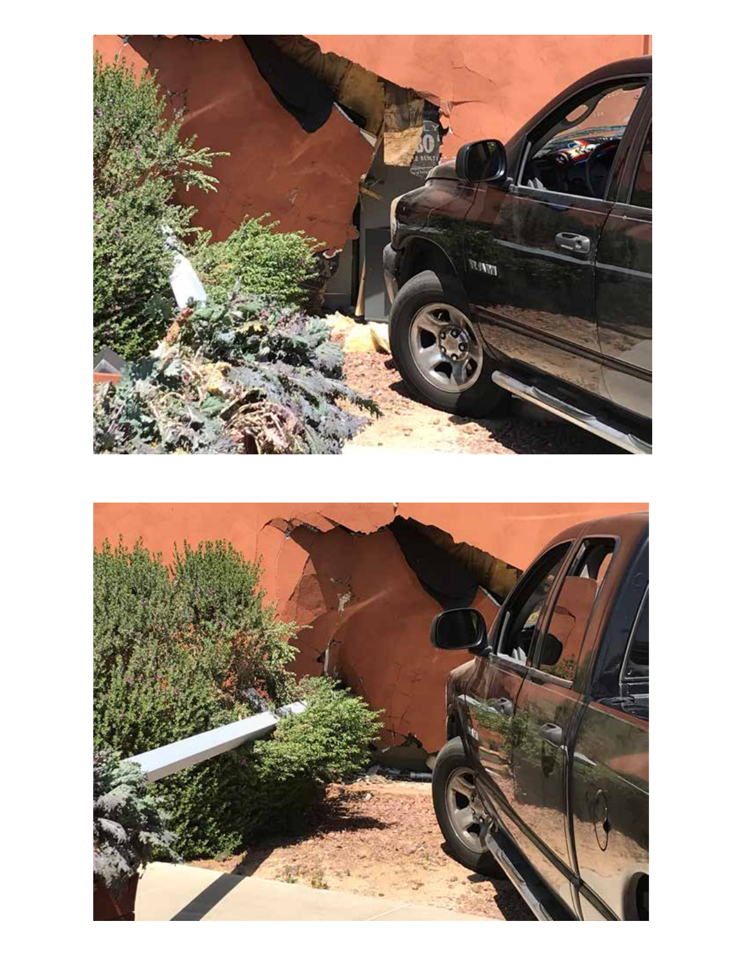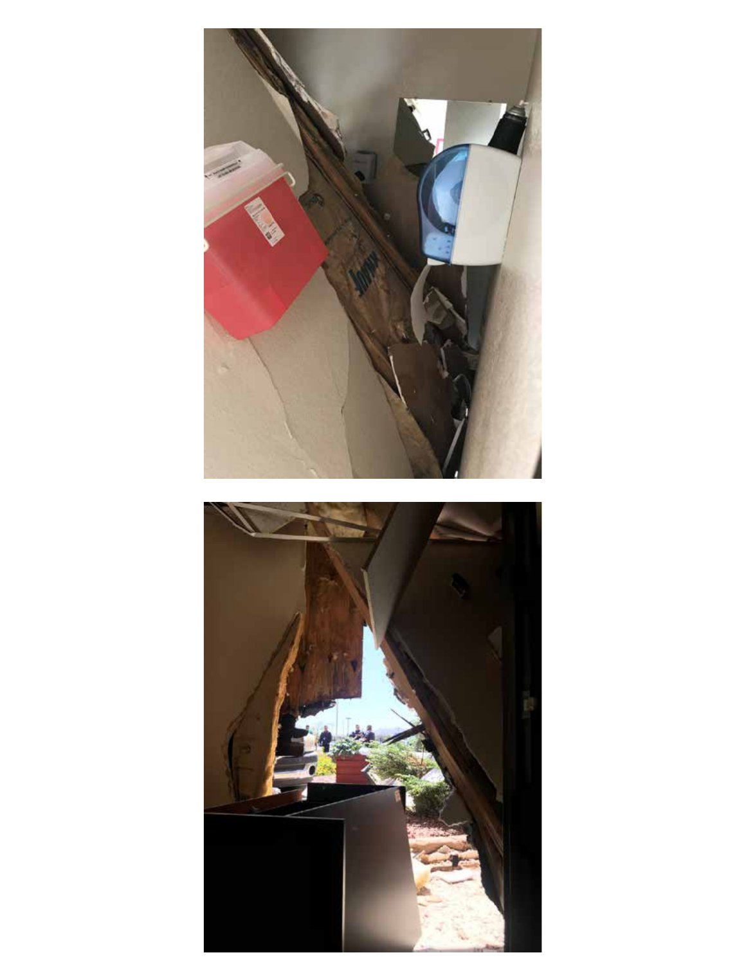